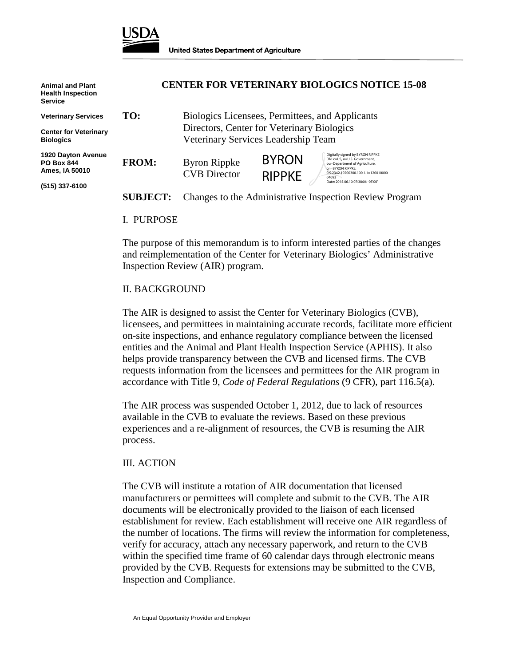

| <b>Animal and Plant</b><br><b>Health Inspection</b><br><b>Service</b>       |                 |                                                                                                                                      |                               | <b>CENTER FOR VETERINARY BIOLOGICS NOTICE 15-08</b>                                                                                                                                                        |
|-----------------------------------------------------------------------------|-----------------|--------------------------------------------------------------------------------------------------------------------------------------|-------------------------------|------------------------------------------------------------------------------------------------------------------------------------------------------------------------------------------------------------|
| <b>Veterinary Services</b>                                                  | TO:             | Biologics Licensees, Permittees, and Applicants<br>Directors, Center for Veterinary Biologics<br>Veterinary Services Leadership Team |                               |                                                                                                                                                                                                            |
| <b>Center for Veterinary</b><br><b>Biologics</b>                            |                 |                                                                                                                                      |                               |                                                                                                                                                                                                            |
| 1920 Dayton Avenue<br><b>PO Box 844</b><br>Ames, IA 50010<br>(515) 337-6100 | <b>FROM:</b>    | <b>Byron Rippke</b><br><b>CVB</b> Director                                                                                           | <b>BYRON</b><br><b>RIPPKE</b> | Digitally signed by BYRON RIPPKE<br>DN: c=US, o=U.S. Government,<br>ou=Department of Agriculture,<br>cn=BYRON RIPPKE.<br>0.9.2342.19200300.100.1.1=120010000<br>04093<br>Date: 2015.06.10 07:38:06 -05'00' |
|                                                                             | <b>SUBJECT:</b> | Changes to the Administrative Inspection Review Program                                                                              |                               |                                                                                                                                                                                                            |

#### I. PURPOSE

The purpose of this memorandum is to inform interested parties of the changes and reimplementation of the Center for Veterinary Biologics' Administrative Inspection Review (AIR) program.

### II. BACKGROUND

The AIR is designed to assist the Center for Veterinary Biologics (CVB), licensees, and permittees in maintaining accurate records, facilitate more efficient on-site inspections, and enhance regulatory compliance between the licensed entities and the Animal and Plant Health Inspection Service (APHIS). It also helps provide transparency between the CVB and licensed firms. The CVB requests information from the licensees and permittees for the AIR program in accordance with Title 9, *Code of Federal Regulations* (9 CFR), part 116.5(a).

The AIR process was suspended October 1, 2012, due to lack of resources available in the CVB to evaluate the reviews. Based on these previous experiences and a re-alignment of resources, the CVB is resuming the AIR process.

### III. ACTION

The CVB will institute a rotation of AIR documentation that licensed manufacturers or permittees will complete and submit to the CVB. The AIR documents will be electronically provided to the liaison of each licensed establishment for review. Each establishment will receive one AIR regardless of the number of locations. The firms will review the information for completeness, verify for accuracy, attach any necessary paperwork, and return to the CVB within the specified time frame of 60 calendar days through electronic means provided by the CVB. Requests for extensions may be submitted to the CVB, Inspection and Compliance.